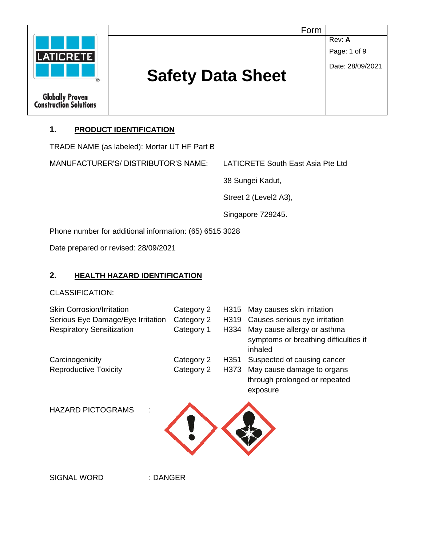

## **1. PRODUCT IDENTIFICATION**

TRADE NAME (as labeled): Mortar UT HF Part B

MANUFACTURER'S/ DISTRIBUTOR'S NAME: LATICRETE South East Asia Pte Ltd

38 Sungei Kadut,

Street 2 (Level2 A3),

Singapore 729245.

Phone number for additional information: (65) 6515 3028

Date prepared or revised: 28/09/2021

#### **2. HEALTH HAZARD IDENTIFICATION**

CLASSIFICATION:

| <b>Skin Corrosion/Irritation</b>  | Category 2 | H315             | May causes skin irritation                                                      |
|-----------------------------------|------------|------------------|---------------------------------------------------------------------------------|
| Serious Eye Damage/Eye Irritation | Category 2 | H319             | Causes serious eye irritation                                                   |
| <b>Respiratory Sensitization</b>  | Category 1 | H334             | May cause allergy or asthma<br>symptoms or breathing difficulties if<br>inhaled |
| Carcinogenicity                   | Category 2 | H <sub>351</sub> | Suspected of causing cancer                                                     |
| <b>Reproductive Toxicity</b>      | Category 2 | H373             | May cause damage to organs<br>through prolonged or repeated<br>exposure         |
| <b>HAZARD PICTOGRAMS</b>          |            |                  |                                                                                 |

SIGNAL WORD : DANGER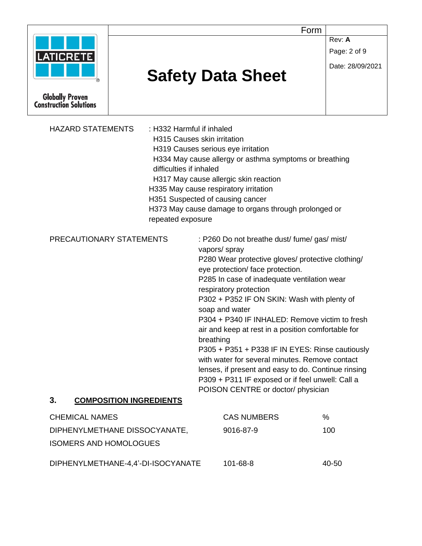|                                                         |                             |                                                                                | Form             |
|---------------------------------------------------------|-----------------------------|--------------------------------------------------------------------------------|------------------|
|                                                         |                             |                                                                                | Rev: A           |
| <b>LATICRETE</b>                                        |                             |                                                                                | Page: 2 of 9     |
|                                                         |                             |                                                                                | Date: 28/09/2021 |
|                                                         |                             | <b>Safety Data Sheet</b>                                                       |                  |
| <b>Globally Proven</b><br><b>Construction Solutions</b> |                             |                                                                                |                  |
| <b>HAZARD STATEMENTS</b>                                | : H332 Harmful if inhaled   |                                                                                |                  |
|                                                         | H315 Causes skin irritation |                                                                                |                  |
|                                                         |                             | H319 Causes serious eye irritation                                             |                  |
|                                                         |                             | H334 May cause allergy or asthma symptoms or breathing                         |                  |
|                                                         | difficulties if inhaled     |                                                                                |                  |
|                                                         |                             | H317 May cause allergic skin reaction<br>H335 May cause respiratory irritation |                  |
|                                                         |                             | H351 Suspected of causing cancer                                               |                  |
|                                                         |                             | H373 May cause damage to organs through prolonged or                           |                  |
|                                                         | repeated exposure           |                                                                                |                  |
| PRECAUTIONARY STATEMENTS                                |                             | : P260 Do not breathe dust/ fume/ gas/ mist/                                   |                  |
|                                                         |                             | vapors/ spray                                                                  |                  |
|                                                         |                             | P280 Wear protective gloves/ protective clothing/                              |                  |
|                                                         |                             | eye protection/ face protection.                                               |                  |
|                                                         |                             | P285 In case of inadequate ventilation wear                                    |                  |
|                                                         |                             | respiratory protection                                                         |                  |
|                                                         |                             | P302 + P352 IF ON SKIN: Wash with plenty of<br>soap and water                  |                  |
|                                                         |                             | P304 + P340 IF INHALED: Remove victim to fresh                                 |                  |
|                                                         |                             | air and keep at rest in a position comfortable for                             |                  |
|                                                         |                             | breathing                                                                      |                  |
|                                                         |                             | P305 + P351 + P338 IF IN EYES: Rinse cautiously                                |                  |
|                                                         |                             | with water for several minutes. Remove contact                                 |                  |
|                                                         |                             | lenses, if present and easy to do. Continue rinsing                            |                  |
|                                                         |                             | P309 + P311 IF exposed or if feel unwell: Call a                               |                  |
| 3.<br><b>COMPOSITION INGREDIENTS</b>                    |                             | POISON CENTRE or doctor/ physician                                             |                  |
| <b>CHEMICAL NAMES</b>                                   |                             | <b>CAS NUMBERS</b>                                                             | $\%$             |
| DIPHENYLMETHANE DISSOCYANATE,                           |                             | 9016-87-9                                                                      | 100              |
| <b>ISOMERS AND HOMOLOGUES</b>                           |                             |                                                                                |                  |
|                                                         |                             |                                                                                |                  |
| DIPHENYLMETHANE-4,4'-DI-ISOCYANATE                      |                             | 101-68-8                                                                       | 40-50            |
|                                                         |                             |                                                                                |                  |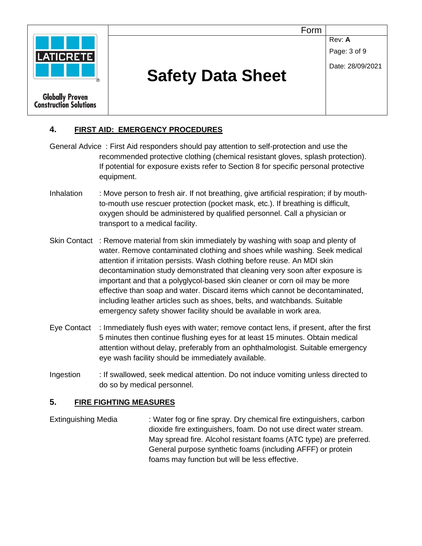|                                                         | Form                     |                                            |
|---------------------------------------------------------|--------------------------|--------------------------------------------|
| <b>LATICRETE</b>                                        | <b>Safety Data Sheet</b> | Rev: A<br>Page: 3 of 9<br>Date: 28/09/2021 |
| <b>Globally Proven</b><br><b>Construction Solutions</b> |                          |                                            |

## **4. FIRST AID: EMERGENCY PROCEDURES**

- General Advice : First Aid responders should pay attention to self-protection and use the recommended protective clothing (chemical resistant gloves, splash protection). If potential for exposure exists refer to Section 8 for specific personal protective equipment.
- Inhalation : Move person to fresh air. If not breathing, give artificial respiration; if by mouthto-mouth use rescuer protection (pocket mask, etc.). If breathing is difficult, oxygen should be administered by qualified personnel. Call a physician or transport to a medical facility.
- Skin Contact : Remove material from skin immediately by washing with soap and plenty of water. Remove contaminated clothing and shoes while washing. Seek medical attention if irritation persists. Wash clothing before reuse. An MDI skin decontamination study demonstrated that cleaning very soon after exposure is important and that a polyglycol-based skin cleaner or corn oil may be more effective than soap and water. Discard items which cannot be decontaminated, including leather articles such as shoes, belts, and watchbands. Suitable emergency safety shower facility should be available in work area.
- Eye Contact : Immediately flush eyes with water; remove contact lens, if present, after the first 5 minutes then continue flushing eyes for at least 15 minutes. Obtain medical attention without delay, preferably from an ophthalmologist. Suitable emergency eye wash facility should be immediately available.
- Ingestion : If swallowed, seek medical attention. Do not induce vomiting unless directed to do so by medical personnel.

#### **5. FIRE FIGHTING MEASURES**

Extinguishing Media : Water fog or fine spray. Dry chemical fire extinguishers, carbon dioxide fire extinguishers, foam. Do not use direct water stream. May spread fire. Alcohol resistant foams (ATC type) are preferred. General purpose synthetic foams (including AFFF) or protein foams may function but will be less effective.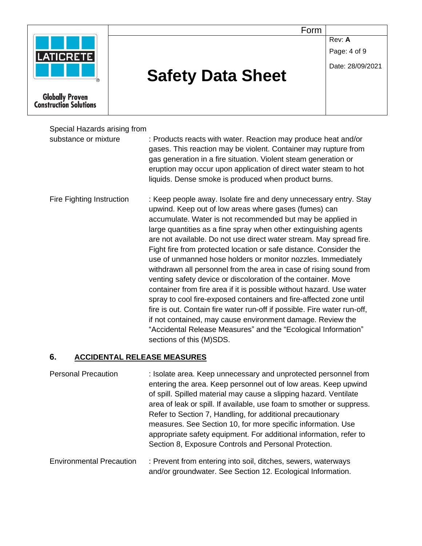|                                                         | Form                     |                  |  |
|---------------------------------------------------------|--------------------------|------------------|--|
|                                                         |                          | Rev: A           |  |
| <b>LATICRETE</b>                                        |                          | Page: 4 of 9     |  |
|                                                         |                          | Date: 28/09/2021 |  |
|                                                         | <b>Safety Data Sheet</b> |                  |  |
|                                                         |                          |                  |  |
| <b>Globally Proven</b><br><b>Construction Solutions</b> |                          |                  |  |
|                                                         |                          |                  |  |

Special Hazards arising from substance or mixture : Products reacts with water. Reaction may produce heat and/or gases. This reaction may be violent. Container may rupture from gas generation in a fire situation. Violent steam generation or eruption may occur upon application of direct water steam to hot liquids. Dense smoke is produced when product burns.

Fire Fighting Instruction : Keep people away. Isolate fire and deny unnecessary entry. Stay upwind. Keep out of low areas where gases (fumes) can accumulate. Water is not recommended but may be applied in large quantities as a fine spray when other extinguishing agents are not available. Do not use direct water stream. May spread fire. Fight fire from protected location or safe distance. Consider the use of unmanned hose holders or monitor nozzles. Immediately withdrawn all personnel from the area in case of rising sound from venting safety device or discoloration of the container. Move container from fire area if it is possible without hazard. Use water spray to cool fire-exposed containers and fire-affected zone until fire is out. Contain fire water run-off if possible. Fire water run-off, if not contained, may cause environment damage. Review the "Accidental Release Measures" and the "Ecological Information" sections of this (M)SDS.

#### **6. ACCIDENTAL RELEASE MEASURES**

| <b>Personal Precaution</b>      | : Isolate area. Keep unnecessary and unprotected personnel from<br>entering the area. Keep personnel out of low areas. Keep upwind<br>of spill. Spilled material may cause a slipping hazard. Ventilate<br>area of leak or spill. If available, use foam to smother or suppress.<br>Refer to Section 7, Handling, for additional precautionary<br>measures. See Section 10, for more specific information. Use<br>appropriate safety equipment. For additional information, refer to<br>Section 8, Exposure Controls and Personal Protection. |
|---------------------------------|-----------------------------------------------------------------------------------------------------------------------------------------------------------------------------------------------------------------------------------------------------------------------------------------------------------------------------------------------------------------------------------------------------------------------------------------------------------------------------------------------------------------------------------------------|
| <b>Environmental Precaution</b> | : Prevent from entering into soil, ditches, sewers, waterways                                                                                                                                                                                                                                                                                                                                                                                                                                                                                 |

and/or groundwater. See Section 12. Ecological Information.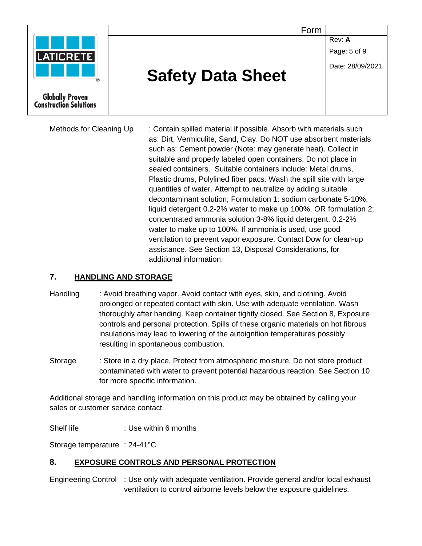|                                                         | Form                     |                        |
|---------------------------------------------------------|--------------------------|------------------------|
| <b>LATICRETE</b>                                        |                          | Rev: A<br>Page: 5 of 9 |
|                                                         | <b>Safety Data Sheet</b> | Date: 28/09/2021       |
| <b>Globally Proven</b><br><b>Construction Solutions</b> |                          |                        |

Methods for Cleaning Up : Contain spilled material if possible. Absorb with materials such as: Dirt, Vermiculite, Sand, Clay. Do NOT use absorbent materials such as: Cement powder (Note: may generate heat). Collect in suitable and properly labeled open containers. Do not place in sealed containers. Suitable containers include: Metal drums, Plastic drums, Polylined fiber pacs. Wash the spill site with large quantities of water. Attempt to neutralize by adding suitable decontaminant solution; Formulation 1: sodium carbonate 5-10%, liquid detergent 0.2-2% water to make up 100%, OR formulation 2; concentrated ammonia solution 3-8% liquid detergent, 0.2-2% water to make up to 100%. If ammonia is used, use good ventilation to prevent vapor exposure. Contact Dow for clean-up assistance. See Section 13, Disposal Considerations, for additional information.

#### **7. HANDLING AND STORAGE**

- Handling : Avoid breathing vapor. Avoid contact with eyes, skin, and clothing. Avoid prolonged or repeated contact with skin. Use with adequate ventilation. Wash thoroughly after handing. Keep container tightly closed. See Section 8, Exposure controls and personal protection. Spills of these organic materials on hot fibrous insulations may lead to lowering of the autoignition temperatures possibly resulting in spontaneous combustion.
- Storage : Store in a dry place. Protect from atmospheric moisture. Do not store product contaminated with water to prevent potential hazardous reaction. See Section 10 for more specific information.

Additional storage and handling information on this product may be obtained by calling your sales or customer service contact.

Shelf life : Use within 6 months

Storage temperature : 24-41°C

## **8. EXPOSURE CONTROLS AND PERSONAL PROTECTION**

Engineering Control : Use only with adequate ventilation. Provide general and/or local exhaust ventilation to control airborne levels below the exposure guidelines.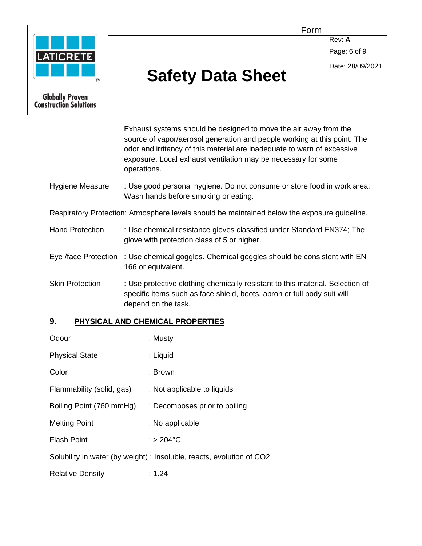

**Rev: A** 

Page: 6 of 9

Date: 28/09/2021



**Globally Proven Construction Solutions** 

# **Safety Data Sheet**

Exhaust systems should be designed to move the air away from the source of vapor/aerosol generation and people working at this point. The odor and irritancy of this material are inadequate to warn of excessive exposure. Local exhaust ventilation may be necessary for some operations.

Hygiene Measure : Use good personal hygiene. Do not consume or store food in work area. Wash hands before smoking or eating.

Respiratory Protection: Atmosphere levels should be maintained below the exposure guideline.

- Hand Protection : Use chemical resistance gloves classified under Standard EN374; The glove with protection class of 5 or higher.
- Eye /face Protection : Use chemical goggles. Chemical goggles should be consistent with EN 166 or equivalent.
- Skin Protection : Use protective clothing chemically resistant to this material. Selection of specific items such as face shield, boots, apron or full body suit will depend on the task.

## **9. PHYSICAL AND CHEMICAL PROPERTIES**

| Odour                     | : Musty                                                               |
|---------------------------|-----------------------------------------------------------------------|
| <b>Physical State</b>     | : Liquid                                                              |
| Color                     | : Brown                                                               |
| Flammability (solid, gas) | : Not applicable to liquids                                           |
| Boiling Point (760 mmHg)  | : Decomposes prior to boiling                                         |
| <b>Melting Point</b>      | : No applicable                                                       |
| <b>Flash Point</b>        | $:$ > 204 $^{\circ}$ C                                                |
|                           | Solubility in water (by weight) : Insoluble, reacts, evolution of CO2 |
| <b>Relative Density</b>   | : 1.24                                                                |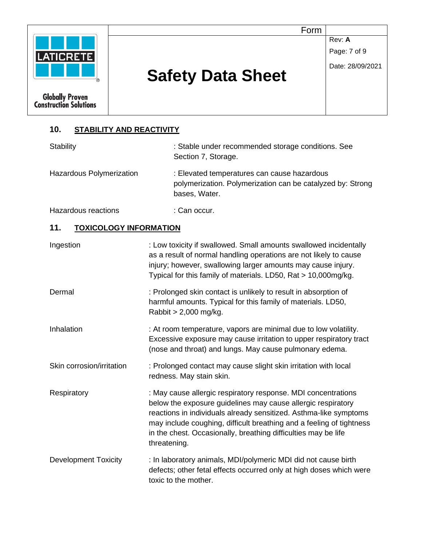| <b>LATICRETE</b>                                  | Form                     | Rev: A<br>Page: 7 of 9 |
|---------------------------------------------------|--------------------------|------------------------|
| R                                                 | <b>Safety Data Sheet</b> | Date: 28/09/2021       |
| <b>Globally Proven<br/>Construction Solutions</b> |                          |                        |

## **10. STABILITY AND REACTIVITY**

| Stability                            | : Stable under recommended storage conditions. See<br>Section 7, Storage.                                                                                                                                                                                                                                                                                    |
|--------------------------------------|--------------------------------------------------------------------------------------------------------------------------------------------------------------------------------------------------------------------------------------------------------------------------------------------------------------------------------------------------------------|
| Hazardous Polymerization             | : Elevated temperatures can cause hazardous<br>polymerization. Polymerization can be catalyzed by: Strong<br>bases, Water.                                                                                                                                                                                                                                   |
| Hazardous reactions                  | : Can occur.                                                                                                                                                                                                                                                                                                                                                 |
| 11.<br><b>TOXICOLOGY INFORMATION</b> |                                                                                                                                                                                                                                                                                                                                                              |
| Ingestion                            | : Low toxicity if swallowed. Small amounts swallowed incidentally<br>as a result of normal handling operations are not likely to cause<br>injury; however, swallowing larger amounts may cause injury.<br>Typical for this family of materials. LD50, Rat > 10,000mg/kg.                                                                                     |
| Dermal                               | : Prolonged skin contact is unlikely to result in absorption of<br>harmful amounts. Typical for this family of materials. LD50,<br>Rabbit > 2,000 mg/kg.                                                                                                                                                                                                     |
| Inhalation                           | : At room temperature, vapors are minimal due to low volatility.<br>Excessive exposure may cause irritation to upper respiratory tract<br>(nose and throat) and lungs. May cause pulmonary edema.                                                                                                                                                            |
| Skin corrosion/irritation            | : Prolonged contact may cause slight skin irritation with local<br>redness. May stain skin.                                                                                                                                                                                                                                                                  |
| Respiratory                          | : May cause allergic respiratory response. MDI concentrations<br>below the exposure guidelines may cause allergic respiratory<br>reactions in individuals already sensitized. Asthma-like symptoms<br>may include coughing, difficult breathing and a feeling of tightness<br>in the chest. Occasionally, breathing difficulties may be life<br>threatening. |
| <b>Development Toxicity</b>          | : In laboratory animals, MDI/polymeric MDI did not cause birth<br>defects; other fetal effects occurred only at high doses which were<br>toxic to the mother.                                                                                                                                                                                                |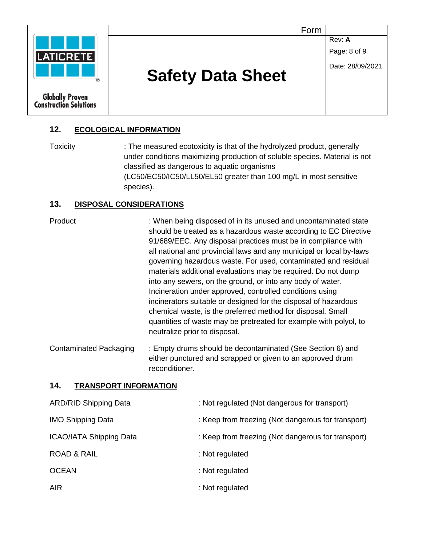

#### **12. ECOLOGICAL INFORMATION**

Toxicity : The measured ecotoxicity is that of the hydrolyzed product, generally under conditions maximizing production of soluble species. Material is not classified as dangerous to aquatic organisms (LC50/EC50/IC50/LL50/EL50 greater than 100 mg/L in most sensitive species).

#### **13. DISPOSAL CONSIDERATIONS**

Product : When being disposed of in its unused and uncontaminated state should be treated as a hazardous waste according to EC Directive 91/689/EEC. Any disposal practices must be in compliance with all national and provincial laws and any municipal or local by-laws governing hazardous waste. For used, contaminated and residual materials additional evaluations may be required. Do not dump into any sewers, on the ground, or into any body of water. Incineration under approved, controlled conditions using incinerators suitable or designed for the disposal of hazardous chemical waste, is the preferred method for disposal. Small quantities of waste may be pretreated for example with polyol, to neutralize prior to disposal.

Contaminated Packaging : Empty drums should be decontaminated (See Section 6) and either punctured and scrapped or given to an approved drum reconditioner.

#### **14. TRANSPORT INFORMATION**

| <b>ARD/RID Shipping Data</b>   | : Not regulated (Not dangerous for transport)      |
|--------------------------------|----------------------------------------------------|
| <b>IMO Shipping Data</b>       | : Keep from freezing (Not dangerous for transport) |
| <b>ICAO/IATA Shipping Data</b> | : Keep from freezing (Not dangerous for transport) |
| <b>ROAD &amp; RAIL</b>         | : Not regulated                                    |
| <b>OCEAN</b>                   | : Not regulated                                    |
| <b>AIR</b>                     | : Not regulated                                    |